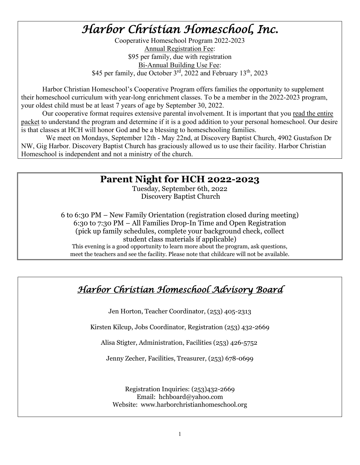# *Harbor Christian Homeschool, Inc.*

Cooperative Homeschool Program 2022-2023 Annual Registration Fee: \$95 per family, due with registration Bi-Annual Building Use Fee: \$45 per family, due October 3<sup>rd</sup>, 2022 and February 13<sup>th</sup>, 2023

Harbor Christian Homeschool's Cooperative Program offers families the opportunity to supplement their homeschool curriculum with year-long enrichment classes. To be a member in the 2022-2023 program, your oldest child must be at least 7 years of age by September 30, 2022.

 Our cooperative format requires extensive parental involvement. It is important that you read the entire packet to understand the program and determine if it is a good addition to your personal homeschool. Our desire is that classes at HCH will honor God and be a blessing to homeschooling families.

 We meet on Mondays, September 12th - May 22nd, at Discovery Baptist Church, 4902 Gustafson Dr NW, Gig Harbor. Discovery Baptist Church has graciously allowed us to use their facility. Harbor Christian Homeschool is independent and not a ministry of the church.

### **Parent Night for HCH 2022-2023**

Tuesday, September 6th, 2022 Discovery Baptist Church

6 to 6:30 PM – New Family Orientation (registration closed during meeting) 6:30 to 7:30 PM – All Families Drop-In Time and Open Registration (pick up family schedules, complete your background check, collect student class materials if applicable) This evening is a good opportunity to learn more about the program, ask questions, meet the teachers and see the facility. Please note that childcare will not be available.

# *Harbor Christian Homeschool Advisory Board*

Jen Horton, Teacher Coordinator, (253) 405-2313

Kirsten Kilcup, Jobs Coordinator, Registration (253) 432-2669

Alisa Stigter, Administration, Facilities (253) 426-5752

Jenny Zecher, Facilities, Treasurer, (253) 678-0699

Registration Inquiries: (253)432-2669 Email: hchboard@yahoo.com Website: www.harborchristianhomeschool.org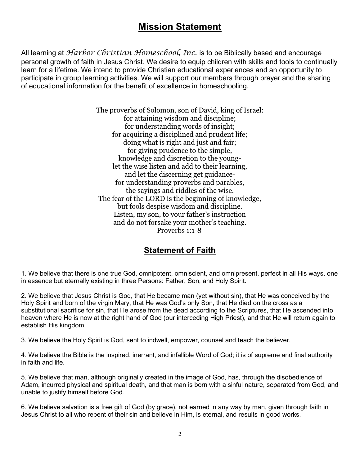## **Mission Statement**

All learning at *Harbor Christian Homeschool, Inc.* is to be Biblically based and encourage personal growth of faith in Jesus Christ. We desire to equip children with skills and tools to continually learn for a lifetime. We intend to provide Christian educational experiences and an opportunity to participate in group learning activities. We will support our members through prayer and the sharing of educational information for the benefit of excellence in homeschooling.

> The proverbs of Solomon, son of David, king of Israel: for attaining wisdom and discipline; for understanding words of insight; for acquiring a disciplined and prudent life; doing what is right and just and fair; for giving prudence to the simple, knowledge and discretion to the younglet the wise listen and add to their learning, and let the discerning get guidancefor understanding proverbs and parables, the sayings and riddles of the wise. The fear of the LORD is the beginning of knowledge, but fools despise wisdom and discipline. Listen, my son, to your father's instruction and do not forsake your mother's teaching. Proverbs 1:1-8

### **Statement of Faith**

1. We believe that there is one true God, omnipotent, omniscient, and omnipresent, perfect in all His ways, one in essence but eternally existing in three Persons: Father, Son, and Holy Spirit.

2. We believe that Jesus Christ is God, that He became man (yet without sin), that He was conceived by the Holy Spirit and born of the virgin Mary, that He was God's only Son, that He died on the cross as a substitutional sacrifice for sin, that He arose from the dead according to the Scriptures, that He ascended into heaven where He is now at the right hand of God (our interceding High Priest), and that He will return again to establish His kingdom.

3. We believe the Holy Spirit is God, sent to indwell, empower, counsel and teach the believer.

4. We believe the Bible is the inspired, inerrant, and infallible Word of God; it is of supreme and final authority in faith and life.

5. We believe that man, although originally created in the image of God, has, through the disobedience of Adam, incurred physical and spiritual death, and that man is born with a sinful nature, separated from God, and unable to justify himself before God.

6. We believe salvation is a free gift of God (by grace), not earned in any way by man, given through faith in Jesus Christ to all who repent of their sin and believe in Him, is eternal, and results in good works.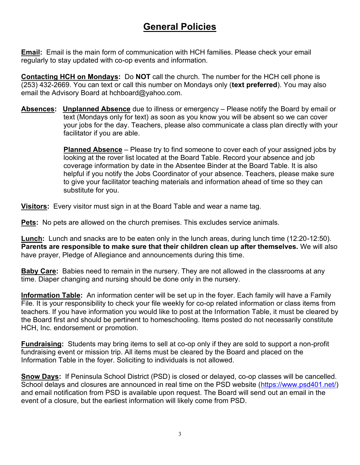# **General Policies**

**Email:** Email is the main form of communication with HCH families. Please check your email regularly to stay updated with co-op events and information.

**Contacting HCH on Mondays:** Do **NOT** call the church. The number for the HCH cell phone is (253) 432-2669. You can text or call this number on Mondays only (**text preferred**). You may also email the Advisory Board at hchboard@yahoo.com.

**Absences: Unplanned Absence** due to illness or emergency – Please notify the Board by email or text (Mondays only for text) as soon as you know you will be absent so we can cover your jobs for the day. Teachers, please also communicate a class plan directly with your facilitator if you are able.

> **Planned Absence** – Please try to find someone to cover each of your assigned jobs by looking at the rover list located at the Board Table. Record your absence and job coverage information by date in the Absentee Binder at the Board Table. It is also helpful if you notify the Jobs Coordinator of your absence. Teachers, please make sure to give your facilitator teaching materials and information ahead of time so they can substitute for you.

**Visitors:** Every visitor must sign in at the Board Table and wear a name tag.

**Pets:** No pets are allowed on the church premises. This excludes service animals.

**Lunch:** Lunch and snacks are to be eaten only in the lunch areas, during lunch time (12:20-12:50). **Parents are responsible to make sure that their children clean up after themselves.** We will also have prayer, Pledge of Allegiance and announcements during this time.

**Baby Care:** Babies need to remain in the nursery. They are not allowed in the classrooms at any time. Diaper changing and nursing should be done only in the nursery.

**Information Table:** An information center will be set up in the foyer. Each family will have a Family File. It is your responsibility to check your file weekly for co-op related information or class items from teachers. If you have information you would like to post at the Information Table, it must be cleared by the Board first and should be pertinent to homeschooling. Items posted do not necessarily constitute HCH, Inc. endorsement or promotion.

**Fundraising:** Students may bring items to sell at co-op only if they are sold to support a non-profit fundraising event or mission trip. All items must be cleared by the Board and placed on the Information Table in the foyer. Soliciting to individuals is not allowed.

**Snow Days:** If Peninsula School District (PSD) is closed or delayed, co-op classes will be cancelled. School delays and closures are announced in real time on the PSD website [\(https://www.psd401.net/\)](https://www.psd401.net/) and email notification from PSD is available upon request. The Board will send out an email in the event of a closure, but the earliest information will likely come from PSD.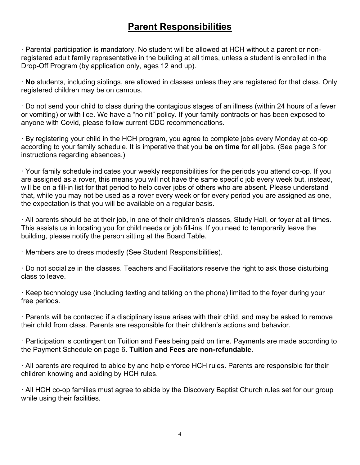### **Parent Responsibilities**

· Parental participation is mandatory. No student will be allowed at HCH without a parent or nonregistered adult family representative in the building at all times, unless a student is enrolled in the Drop-Off Program (by application only, ages 12 and up).

· **No** students, including siblings, are allowed in classes unless they are registered for that class. Only registered children may be on campus.

· Do not send your child to class during the contagious stages of an illness (within 24 hours of a fever or vomiting) or with lice. We have a "no nit" policy. If your family contracts or has been exposed to anyone with Covid, please follow current CDC recommendations.

· By registering your child in the HCH program, you agree to complete jobs every Monday at co-op according to your family schedule. It is imperative that you **be on time** for all jobs. (See page 3 for instructions regarding absences.)

· Your family schedule indicates your weekly responsibilities for the periods you attend co-op. If you are assigned as a rover, this means you will not have the same specific job every week but, instead, will be on a fill-in list for that period to help cover jobs of others who are absent. Please understand that, while you may not be used as a rover every week or for every period you are assigned as one, the expectation is that you will be available on a regular basis.

· All parents should be at their job, in one of their children's classes, Study Hall, or foyer at all times. This assists us in locating you for child needs or job fill-ins. If you need to temporarily leave the building, please notify the person sitting at the Board Table.

· Members are to dress modestly (See Student Responsibilities).

· Do not socialize in the classes. Teachers and Facilitators reserve the right to ask those disturbing class to leave.

· Keep technology use (including texting and talking on the phone) limited to the foyer during your free periods.

· Parents will be contacted if a disciplinary issue arises with their child, and may be asked to remove their child from class. Parents are responsible for their children's actions and behavior.

· Participation is contingent on Tuition and Fees being paid on time. Payments are made according to the Payment Schedule on page 6. **Tuition and Fees are non-refundable**.

· All parents are required to abide by and help enforce HCH rules. Parents are responsible for their children knowing and abiding by HCH rules.

· All HCH co-op families must agree to abide by the Discovery Baptist Church rules set for our group while using their facilities.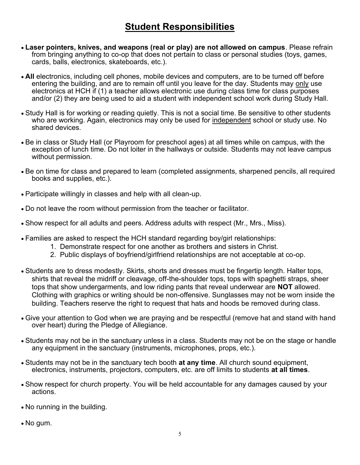## **Student Responsibilities**

- **Laser pointers, knives, and weapons (real or play) are not allowed on campus**. Please refrain from bringing anything to co-op that does not pertain to class or personal studies (toys, games, cards, balls, electronics, skateboards, etc.).
- **All** electronics, including cell phones, mobile devices and computers, are to be turned off before entering the building, and are to remain off until you leave for the day. Students may only use electronics at HCH if (1) a teacher allows electronic use during class time for class purposes and/or (2) they are being used to aid a student with independent school work during Study Hall.
- Study Hall is for working or reading quietly. This is not a social time. Be sensitive to other students who are working. Again, electronics may only be used for independent school or study use. No shared devices.
- Be in class or Study Hall (or Playroom for preschool ages) at all times while on campus, with the exception of lunch time. Do not loiter in the hallways or outside. Students may not leave campus without permission.
- Be on time for class and prepared to learn (completed assignments, sharpened pencils, all required books and supplies, etc.).
- Participate willingly in classes and help with all clean-up.
- Do not leave the room without permission from the teacher or facilitator.
- Show respect for all adults and peers. Address adults with respect (Mr., Mrs., Miss).
- Families are asked to respect the HCH standard regarding boy/girl relationships:
	- 1. Demonstrate respect for one another as brothers and sisters in Christ.
	- 2. Public displays of boyfriend/girlfriend relationships are not acceptable at co-op.
- Students are to dress modestly. Skirts, shorts and dresses must be fingertip length. Halter tops, shirts that reveal the midriff or cleavage, off-the-shoulder tops, tops with spaghetti straps, sheer tops that show undergarments, and low riding pants that reveal underwear are **NOT** allowed. Clothing with graphics or writing should be non-offensive. Sunglasses may not be worn inside the building. Teachers reserve the right to request that hats and hoods be removed during class.
- Give your attention to God when we are praying and be respectful (remove hat and stand with hand over heart) during the Pledge of Allegiance.
- Students may not be in the sanctuary unless in a class. Students may not be on the stage or handle any equipment in the sanctuary (instruments, microphones, props, etc.).
- Students may not be in the sanctuary tech booth **at any time**. All church sound equipment, electronics, instruments, projectors, computers, etc. are off limits to students **at all times**.
- Show respect for church property. You will be held accountable for any damages caused by your actions.
- No running in the building.
- No gum.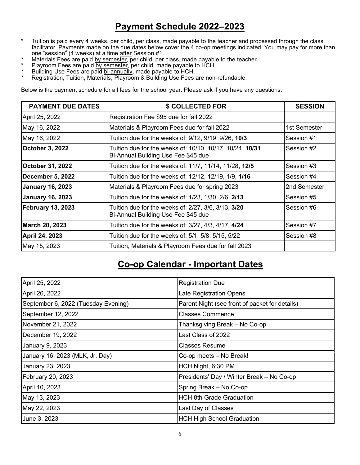### **Payment Schedule 2022–2023**

- \* Tuition is paid every 4 weeks, per child, per class, made payable to the teacher and processed through the class facilitator. Payments made on the due dates below cover the 4 co-op meetings indicated. You may pay for more than one "session" (4 weeks) at a time after Session #1.
- Materials Fees are paid by semester, per child, per class, made payable to the teacher.
- \* Playroom Fees are paid by semester, per child, made payable to HCH.
- \* Building Use Fees are paid bi-annually, made payable to HCH.
- \* Registration, Tuition, Materials, Playroom & Building Use Fees are non-refundable.

Below is the payment schedule for all fees for the school year. Please ask if you have any questions.

| <b>PAYMENT DUE DATES</b> | \$ COLLECTED FOR                                                                                | <b>SESSION</b> |
|--------------------------|-------------------------------------------------------------------------------------------------|----------------|
| April 25, 2022           | Registration Fee \$95 due for fall 2022                                                         |                |
| May 16, 2022             | Materials & Playroom Fees due for fall 2022                                                     | 1st Semester   |
| May 16, 2022             | Tuition due for the weeks of: 9/12, 9/19, 9/26, 10/3                                            | Session #1     |
| <b>October 3, 2022</b>   | Tuition due for the weeks of: 10/10, 10/17, 10/24, 10/31<br>Bi-Annual Building Use Fee \$45 due | Session #2     |
| October 31, 2022         | Tuition due for the weeks of: 11/7, 11/14, 11/28, 12/5                                          | Session #3     |
| December 5, 2022         | Tuition due for the weeks of: 12/12, 12/19, 1/9, 1/16                                           | Session #4     |
| <b>January 16, 2023</b>  | Materials & Playroom Fees due for spring 2023                                                   | 2nd Semester   |
| <b>January 16, 2023</b>  | Tuition due for the weeks of: 1/23, 1/30, 2/6, 2/13                                             | Session #5     |
| <b>February 13, 2023</b> | Tuition due for the weeks of: 2/27, 3/6, 3/13, 3/20<br>Bi-Annual Building Use Fee \$45 due      | Session #6     |
| March 20, 2023           | Tuition due for the weeks of: 3/27, 4/3, 4/17, <b>4/24</b>                                      | Session #7     |
| April 24, 2023           | Tuition due for the weeks of: 5/1, 5/8, 5/15, 5/22                                              | Session #8     |
| May 15, 2023             | Tuition, Materials & Playroom Fees due for fall 2023                                            |                |

### **Co-op Calendar - Important Dates**

| April 25, 2022                      | <b>Registration Due</b>                        |  |  |
|-------------------------------------|------------------------------------------------|--|--|
| April 26, 2022                      | Late Registration Opens                        |  |  |
| September 6, 2022 (Tuesday Evening) | Parent Night (see front of packet for details) |  |  |
| September 12, 2022                  | <b>Classes Commence</b>                        |  |  |
| November 21, 2022                   | Thanksgiving Break - No Co-op                  |  |  |
| December 19, 2022                   | Last Class of 2022                             |  |  |
| January 9, 2023                     | <b>Classes Resume</b>                          |  |  |
| January 16, 2023 (MLK, Jr. Day)     | Co-op meets - No Break!                        |  |  |
| January 23, 2023                    | HCH Night, 6:30 PM                             |  |  |
| February 20, 2023                   | Presidents' Day / Winter Break - No Co-op      |  |  |
| April 10, 2023                      | Spring Break - No Co-op                        |  |  |
| May 13, 2023                        | <b>HCH 8th Grade Graduation</b>                |  |  |
| May 22, 2023                        | Last Day of Classes                            |  |  |
| June 3, 2023                        | <b>HCH High School Graduation</b>              |  |  |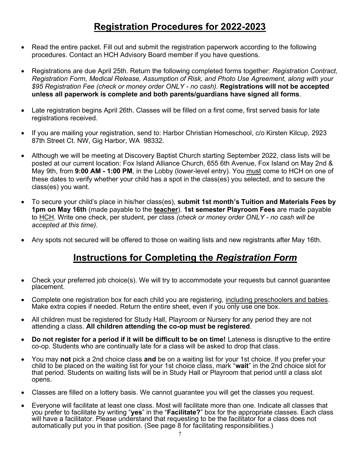## **Registration Procedures for 2022-2023**

- Read the entire packet. Fill out and submit the registration paperwork according to the following procedures. Contact an HCH Advisory Board member if you have questions.
- Registrations are due April 25th. Return the following completed forms together: *Registration Contract, Registration Form, Medical Release, Assumption of Risk, and Photo Use Agreement, along with your \$95 Registration Fee (check or money order ONLY - no cash).* **Registrations will not be accepted unless all paperwork is complete and both parents/guardians have signed all forms**.
- Late registration begins April 26th. Classes will be filled on a first come, first served basis for late registrations received.
- If you are mailing your registration, send to: Harbor Christian Homeschool, c/o Kirsten Kilcup, 2923 87th Street Ct. NW, Gig Harbor, WA 98332.
- Although we will be meeting at Discovery Baptist Church starting September 2022, class lists will be posted at our current location: Fox Island Alliance Church, 655 6th Avenue, Fox Island on May 2nd & May 9th, from **9:00 AM - 1:00 PM**, in the Lobby (lower-level entry). You must come to HCH on one of these dates to verify whether your child has a spot in the class(es) you selected, and to secure the class(es) you want.
- To secure your child's place in his/her class(es), **submit 1st month's Tuition and Materials Fees by 1pm on May 16th** (made payable to the **teacher**). **1st semester Playroom Fees** are made payable to HCH. Write one check, per student, per class *(check or money order ONLY - no cash will be accepted at this time).*
- Any spots not secured will be offered to those on waiting lists and new registrants after May 16th.

## **Instructions for Completing the** *Registration Form*

- Check your preferred job choice(s). We will try to accommodate your requests but cannot guarantee placement.
- Complete one registration box for each child you are registering, including preschoolers and babies. Make extra copies if needed. Return the entire sheet, even if you only use one box.
- All children must be registered for Study Hall, Playroom or Nursery for any period they are not attending a class. **All children attending the co-op must be registered**.
- **Do not register for a period if it will be difficult to be on time!** Lateness is disruptive to the entire co-op. Students who are continually late for a class will be asked to drop that class.
- You may **not** pick a 2nd choice class **and** be on a waiting list for your 1st choice. If you prefer your child to be placed on the waiting list for your 1st choice class, mark "**wait**" in the 2nd choice slot for that period. Students on waiting lists will be in Study Hall or Playroom that period until a class slot opens.
- Classes are filled on a lottery basis. We cannot guarantee you will get the classes you request.
- Everyone will facilitate at least one class. Most will facilitate more than one. Indicate all classes that you prefer to facilitate by writing "**yes**" in the "**Facilitate?**" box for the appropriate classes. Each class will have a facilitator. Please understand that requesting to be the facilitator for a class does not automatically put you in that position. (See page 8 for facilitating responsibilities.)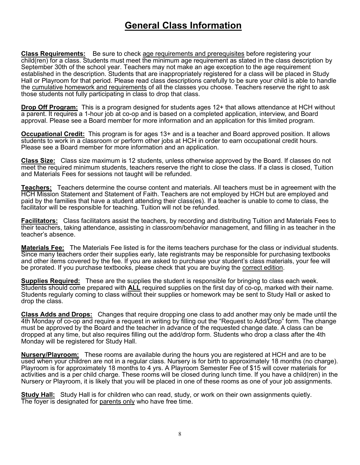### **General Class Information**

**Class Requirements:** Be sure to check age requirements and prerequisites before registering your child(ren) for a class. Students must meet the minimum age requirement as stated in the class description by September 30th of the school year. Teachers may not make an age exception to the age requirement established in the description. Students that are inappropriately registered for a class will be placed in Study Hall or Playroom for that period. Please read class descriptions carefully to be sure your child is able to handle the cumulative homework and requirements of all the classes you choose. Teachers reserve the right to ask those students not fully participating in class to drop that class.

**Drop Off Program:** This is a program designed for students ages 12+ that allows attendance at HCH without a parent. It requires a 1-hour job at co-op and is based on a completed application, interview, and Board approval. Please see a Board member for more information and an application for this limited program.

**Occupational Credit:** This program is for ages 13+ and is a teacher and Board approved position. It allows students to work in a classroom or perform other jobs at HCH in order to earn occupational credit hours. Please see a Board member for more information and an application.

**Class Size:** Class size maximum is 12 students, unless otherwise approved by the Board. If classes do not meet the required minimum students, teachers reserve the right to close the class. If a class is closed, Tuition and Materials Fees for sessions not taught will be refunded.

**Teachers:** Teachers determine the course content and materials. All teachers must be in agreement with the HCH Mission Statement and Statement of Faith. Teachers are not employed by HCH but are employed and paid by the families that have a student attending their class(es). If a teacher is unable to come to class, the facilitator will be responsible for teaching. Tuition will not be refunded.

**Facilitators:** Class facilitators assist the teachers, by recording and distributing Tuition and Materials Fees to their teachers, taking attendance, assisting in classroom/behavior management, and filling in as teacher in the teacher's absence.

**Materials Fee:** The Materials Fee listed is for the items teachers purchase for the class or individual students. Since many teachers order their supplies early, late registrants may be responsible for purchasing textbooks and other items covered by the fee. If you are asked to purchase your student's class materials, your fee will be prorated. If you purchase textbooks, please check that you are buying the correct edition.

**Supplies Required:** These are the supplies the student is responsible for bringing to class each week. Students should come prepared with **ALL** required supplies on the first day of co-op, marked with their name. Students regularly coming to class without their supplies or homework may be sent to Study Hall or asked to drop the class.

**Class Adds and Drops:** Changes that require dropping one class to add another may only be made until the 4th Monday of co-op and require a request in writing by filling out the "Request to Add/Drop" form. The change must be approved by the Board and the teacher in advance of the requested change date. A class can be dropped at any time, but also requires filling out the add/drop form. Students who drop a class after the 4th Monday will be registered for Study Hall.

**Nursery/Playroom:** These rooms are available during the hours you are registered at HCH and are to be used when your children are not in a regular class. Nursery is for birth to approximately 18 months (no charge). Playroom is for approximately 18 months to 4 yrs. A Playroom Semester Fee of \$15 will cover materials for activities and is a per child charge. These rooms will be closed during lunch time. If you have a child(ren) in the Nursery or Playroom, it is likely that you will be placed in one of these rooms as one of your job assignments.

**Study Hall:** Study Hall is for children who can read, study, or work on their own assignments quietly. The foyer is designated for parents only who have free time.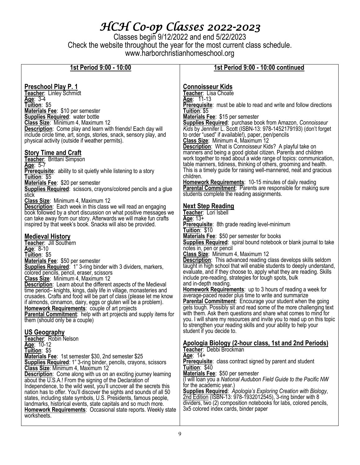# *HCH Co-op Classes 2022-2023*

Classes begin 9/12/2022 and end 5/22/2023 Check the website throughout the year for the most current class schedule. www.harborchristianhomeschool.org

| 1st Period 9:00 - 10:00                                                                                                                                                                                             | 1st Period 9:00 - 10:00 continued                                                                                                                                                                                       |  |  |
|---------------------------------------------------------------------------------------------------------------------------------------------------------------------------------------------------------------------|-------------------------------------------------------------------------------------------------------------------------------------------------------------------------------------------------------------------------|--|--|
|                                                                                                                                                                                                                     |                                                                                                                                                                                                                         |  |  |
| <u>Preschool Play P. 1</u>                                                                                                                                                                                          | <b>Connoisseur Kids</b>                                                                                                                                                                                                 |  |  |
| Teacher: Linley Schmidt                                                                                                                                                                                             | Teacher: Lisa Choate                                                                                                                                                                                                    |  |  |
| Age: 3-4                                                                                                                                                                                                            | Age: 11-13                                                                                                                                                                                                              |  |  |
| Tuition: \$5                                                                                                                                                                                                        | Prerequisite: must be able to read and write and follow directions                                                                                                                                                      |  |  |
| Materials Fee: \$10 per semester                                                                                                                                                                                    | Tuition: \$5                                                                                                                                                                                                            |  |  |
| <b>Supplies Required:</b> water bottle                                                                                                                                                                              | Materials Fee: \$15 per semester                                                                                                                                                                                        |  |  |
| Class Size: Minimum 4, Maximum 12                                                                                                                                                                                   | <b>Supplies Required:</b> purchase book from Amazon, Connoisseur                                                                                                                                                        |  |  |
| <b>Description:</b> Come play and learn with friends! Each day will                                                                                                                                                 | Kids by Jennifer L. Scott (ISBN-13: 978-1452179193) (don't forget                                                                                                                                                       |  |  |
| include circle time, art, songs, stories, snack, sensory play, and                                                                                                                                                  | to order "used" if available!), paper, pen/pencils                                                                                                                                                                      |  |  |
| physical activity (outside if weather permits).                                                                                                                                                                     | Class Size: Minimum 4, Maximum 12                                                                                                                                                                                       |  |  |
| <u>Story Time and Craft</u><br>Teacher: Brittani Simpson                                                                                                                                                            | <b>Description:</b> What is Connoisseur Kids? A playful take on<br>manners and being a good global citizen. Parents and children<br>work together to read about a wide range of topics: communication,                  |  |  |
| Age: 5-7                                                                                                                                                                                                            | table manners, tidiness, thinking of others, grooming and health.                                                                                                                                                       |  |  |
| <b>Prerequisite:</b> ability to sit quietly while listening to a story                                                                                                                                              | This is a timely guide for raising well-mannered, neat and gracious                                                                                                                                                     |  |  |
| Tuition: \$5                                                                                                                                                                                                        | children.                                                                                                                                                                                                               |  |  |
| Materials Fee: \$20 per semester                                                                                                                                                                                    | <b>Homework Requirements: 10-15 minutes of daily reading</b>                                                                                                                                                            |  |  |
| <b>Supplies Required:</b> scissors, crayons/colored pencils and a glue                                                                                                                                              | <b>Parental Commitment:</b> Parents are responsible for making sure                                                                                                                                                     |  |  |
| stick                                                                                                                                                                                                               | students complete the reading assignments.                                                                                                                                                                              |  |  |
| Class Size: Minimum 4, Maximum 12<br><b>Description:</b> Each week in this class we will read an engaging                                                                                                           | <b>Next Step Reading</b>                                                                                                                                                                                                |  |  |
| book followed by a short discussion on what positive messages we                                                                                                                                                    | Teacher: Lori Isbell                                                                                                                                                                                                    |  |  |
| can take away from our story. Afterwards we will make fun crafts                                                                                                                                                    | Age: $13+$                                                                                                                                                                                                              |  |  |
| inspired by that week's book. Snacks will also be provided.                                                                                                                                                         | <b>Prerequisite:</b> 8th grade reading level-minimum<br>Tuition: \$10                                                                                                                                                   |  |  |
| <b>Medieval History</b>                                                                                                                                                                                             | <b>Materials Fee: \$50 per semester for books</b>                                                                                                                                                                       |  |  |
| Teacher: Jill Southern                                                                                                                                                                                              | <b>Supplies Required:</b> spiral bound notebook or blank journal to take                                                                                                                                                |  |  |
| Age: $8-10$                                                                                                                                                                                                         | notes in, pen or pencil                                                                                                                                                                                                 |  |  |
| Tuition: \$5                                                                                                                                                                                                        | Class Size: Minimum 4, Maximum 12                                                                                                                                                                                       |  |  |
| Materials Fee: \$50 per semester<br><b>Supplies Required:</b> 1" 3-ring binder with 3 dividers, markers,                                                                                                            | <b>Description:</b> This advanced reading class develops skills seldom<br>taught in high school that will enable students to deeply understand,<br>evaluate, and if they choose to, apply what they are reading. Skills |  |  |
| colored pencils, pencil, eraser, scissors                                                                                                                                                                           | include pre-reading, strategies for tough spots, bulk                                                                                                                                                                   |  |  |
| Class Size: Minimum 4, Maximum 12                                                                                                                                                                                   | and in-depth reading.                                                                                                                                                                                                   |  |  |
| <b>Description:</b> Learn about the different aspects of the Medieval<br>time period- knights, kings, daily life in village, monasteries and<br>crusades. Crafts and food will be part of class (please let me know | Homework Requirements: up to 3 hours of reading a week for<br>average-paced reader plus time to write and summarize                                                                                                     |  |  |
| if almonds, cinnamon, dairy, eggs or gluten will be a problem).                                                                                                                                                     | <b>Parental Commitment:</b> Encourage your student when the going                                                                                                                                                       |  |  |
| <b>Homework Requirements: couple of art projects</b>                                                                                                                                                                | gets tough. Possibly sit and read some of the more challenging text                                                                                                                                                     |  |  |
| <b>Parental Commitment:</b> help with art projects and supply items for<br>them (should only be a couple)                                                                                                           | with them. Ask them questions and share what comes to mind for<br>you. I will share my resources and invite you to read up on this topic<br>to strengthen your reading skills and your ability to help your             |  |  |
| <b>US Geography</b><br>Teacher: Robin Nelson                                                                                                                                                                        | student if you decide to.                                                                                                                                                                                               |  |  |
| Age: 10-12                                                                                                                                                                                                          | Apologia Biology (2-hour class, 1st and 2nd Periods)                                                                                                                                                                    |  |  |
| Tuition: \$5                                                                                                                                                                                                        | Teacher: Debbi Brockman                                                                                                                                                                                                 |  |  |
| Materials Fee: 1st semester \$30, 2nd semester \$25                                                                                                                                                                 | Age: $14+$                                                                                                                                                                                                              |  |  |
| <b>Supplies Required:</b> 1" 3-ring binder, pencils, crayons, scissors                                                                                                                                              | <b>Prerequisite:</b> class contract signed by parent and student                                                                                                                                                        |  |  |
| Class Size: Minimum 4, Maximum 12                                                                                                                                                                                   | Tuition: \$40                                                                                                                                                                                                           |  |  |
| <b>Description:</b> Come along with us on an exciting journey learning                                                                                                                                              | Materials Fee: \$50 per semester                                                                                                                                                                                        |  |  |
| about the U.S.A.! From the signing of the Declaration of                                                                                                                                                            | (I will loan you a National Audubon Field Guide to the Pacific NW                                                                                                                                                       |  |  |
| Independence, to the wild west, you'll uncover all the secrets this                                                                                                                                                 | for the academic year.)                                                                                                                                                                                                 |  |  |
| nation has to offer. You'll discover the sights and sounds of all 50                                                                                                                                                | Supplies Required: Apologia's Exploring Creation with Biology,                                                                                                                                                          |  |  |
| states, including state symbols, U.S. Presidents, famous people,                                                                                                                                                    | 2nd Edition (ISBN-13: 978-1932012545), 3-ring binder with 8                                                                                                                                                             |  |  |
| landmarks, historical events, state capitals and so much more.                                                                                                                                                      | dividers, two (2) composition notebooks for labs, colored pencils,                                                                                                                                                      |  |  |
| <b>Homework Requirements: Occasional state reports. Weekly state</b><br>worksheets.                                                                                                                                 | 3x5 colored index cards, binder paper                                                                                                                                                                                   |  |  |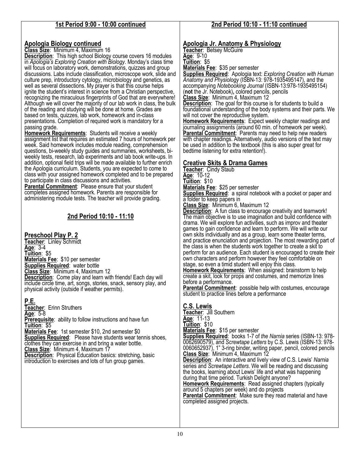#### **1st Period 9:00 - 10:00 continued**

#### **Apologia Biology continued**

**Class Size**: Minimum 4, Maximum 16

**Description**: This high school Biology course covers 16 modules in *Apologia's Exploring Creation with Biology*. Monday's class time will focus on laboratory work, demonstrations, quizzes and group discussions. Labs include classification, microscope work, slide and culture prep, introductory cytology, microbiology and genetics, as well as several dissections. My prayer is that this course helps ignite the student's interest in science from a Christian perspective, recognizing the miraculous fingerprints of God that are everywhere! Although we will cover the majority of our lab work in class, the bulk of the reading and studying will be done at home. Grades are based on tests, quizzes, lab work, homework and in-class presentations. Completion of required work is mandatory for a passing grade.

**Homework Requirements**: Students will receive a weekly assignment list that requires an estimated 7 hours of homework per week. Said homework includes module reading, comprehension questions, bi-weekly study guides and summaries, worksheets, biweekly tests, research, lab experiments and lab book write-ups. In addition, optional field trips will be made available to further enrich the Apologia curriculum. Students, you are expected to come to class with your assigned homework completed and to be prepared to participate in class discussions and activities.

**Parental Commitment:** Please ensure that your student completes assigned homework. Parents are responsible for administering module tests. The teacher will provide grading.

### **2nd Period 10:10 - 11:10**

#### **Preschool Play P. 2**

**Teacher**: Linley Schmidt **Age**: 3-4 **Tuition**: \$5 **Materials Fee**: \$10 per semester **Supplies Required**: water bottle **Class Size**: Minimum 4, Maximum 12 **Description**: Come play and learn with friends! Each day will include circle time, art, songs, stories, snack, sensory play, and physical activity (outside if weather permits).

### **P.E.**

**Teacher**: Erinn Struthers **Age**: 5-8 **Prerequisite:** ability to follow instructions and have fun **Tuition**: \$5 **Materials Fee**: 1st semester \$10, 2nd semester \$0 **Supplies Required**:Please have students wear tennis shoes, clothes they can exercise in and bring a water bottle.

**Class Size**: Minimum 4, Maximum 17

**Description:** Physical Education basics: stretching, basic introduction to exercises and lots of fun group games.

#### **2nd Period 10:10 - 11:10 continued**

#### **Apologia Jr. Anatomy & Physiology**

**Teacher**: Betsey McGuire **Age**: 9-10 **Tuition**: \$5

**Materials Fee**: \$35 per semester **Supplies Required**: Apologia text: *Exploring Creation with Human Anatomy and Physiology* (ISBN-13: 978-1935495147), and the accompanying *Notebooking Journal* (ISBN-13:978-1935495154) (**not** the Jr. Notebook)**,** colored pencils, pencils **Class Size**: Minimum 4, Maximum 12

**Description**: The goal for this course is for students to build a foundational understanding of the body systems and their parts. We will not cover the reproductive system.

**Homework Requirements**: Expect weekly chapter readings and journaling assignments (around 60 min. of homework per week). **Parental Commitment**: Parents may need to help new readers with chapter readings. Alternatively, audio versions of the text may be used in addition to the textbook (this is also super great for bedtime listening for extra retention!).

#### **Creative Skits & Drama Games**

**Teacher**: Cindy Staub **Age**: 10-12 **Tuition**: \$10 **Materials Fee**: \$25 per semester

**Supplies Required:** a spiral notebook with a pocket or paper and a folder to keep papers in

**Class Size**: Minimum 6, Maximum 12

**Description:** A fun class to encourage creativity and teamwork! The main objective is to use imagination and build confidence with drama. We will explore fun activities, such as improv and theater games to gain confidence and learn to perform. We will write our own skits individually and as a group, learn some theater terms, and practice enunciation and projection. The most rewarding part of the class is when the students work together to create a skit to perform for an audience. Each student is encouraged to create their own characters and perform however they feel comfortable on stage, so even a timid student will enjoy this class.

**Homework Requirements**: When assigned: brainstorm to help create a skit, look for props and costumes, and memorize lines before a performance.

**Parental Commitment**: possible help with costumes, encourage student to practice lines before a performance

**C.S. Lewis Teacher**: Jill Southern **Age**: 11-13 **Tuition**: \$10 **Materials Fee**: \$15 per semester **Supplies Required**: books 1-7 of *the Narnia* series (ISBN-13: 978- 0062690579), and *Screwtape Letters* by C.S. Lewis (ISBN-13: 978- 0060652937), 1" 3-ring binder, writing paper, pencil, colored pencils **Class Size**: Minimum 4, Maximum 12 **Description**: An interactive and lively view of C.S. Lewis' *Narnia*  series and *Screwtape Letters*. We will be reading and discussing the books, learning about Lewis' life and what was happening during that time period. Turkish Delight anyone? **Homework Requirements: Read assigned chapters (typically** around 5 chapters per week) and do projects **Parental Commitment**: Make sure they read material and have completed assigned projects.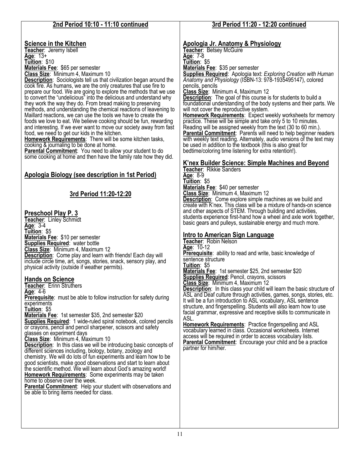| 2nd Period 10:10 - 11:10 continued                                                                                                                                                                                                                                                                                                                                                                                                                                                                                                                                                                                                                                                                                                                                                                                                                                                                                                                                                                                                                                                                                                                                                                                                                                                                                                                                                                 | 3rd Period 11:20 - 12:20 continued                                                                                                                                                                                                                                                                                                                                                                                                                                                                                                                                                                                                                                                                                                                                                                                                                                                                                                                                                                                                                                                                                                 |
|----------------------------------------------------------------------------------------------------------------------------------------------------------------------------------------------------------------------------------------------------------------------------------------------------------------------------------------------------------------------------------------------------------------------------------------------------------------------------------------------------------------------------------------------------------------------------------------------------------------------------------------------------------------------------------------------------------------------------------------------------------------------------------------------------------------------------------------------------------------------------------------------------------------------------------------------------------------------------------------------------------------------------------------------------------------------------------------------------------------------------------------------------------------------------------------------------------------------------------------------------------------------------------------------------------------------------------------------------------------------------------------------------|------------------------------------------------------------------------------------------------------------------------------------------------------------------------------------------------------------------------------------------------------------------------------------------------------------------------------------------------------------------------------------------------------------------------------------------------------------------------------------------------------------------------------------------------------------------------------------------------------------------------------------------------------------------------------------------------------------------------------------------------------------------------------------------------------------------------------------------------------------------------------------------------------------------------------------------------------------------------------------------------------------------------------------------------------------------------------------------------------------------------------------|
| <b>Science in the Kitchen</b><br>Teacher: Jeremy Isbell<br>Age: 13+<br>Tuition: \$10<br>Materials Fee: \$65 per semester<br>Class Size: Minimum 4, Maximum 10<br><b>Description:</b> Sociologists tell us that civilization began around the<br>cook fire. As humans, we are the only creatures that use fire to<br>prepare our food. We are going to explore the methods that we use<br>to convert the "undelicious" into the delicious and understand why<br>they work the way they do. From bread making to preserving<br>methods, and understanding the chemical reactions of leavening to<br>Maillard reactions, we can use the tools we have to create the<br>foods we love to eat. We believe cooking should be fun, rewarding<br>and interesting. If we ever want to move our society away from fast<br>food, we need to get our kids in the kitchen.<br><b>Homework Requirements:</b> There will be some kitchen tasks,<br>cooking & journaling to be done at home.<br><b>Parental Commitment:</b> You need to allow your student to do<br>some cooking at home and then have the family rate how they did.<br>Apologia Biology (see description in 1st Period)                                                                                                                                                                                                                           | <u>Apologia Jr. Anatomy &amp; Physiology</u><br>Teacher: Betsey McGuire<br>Age: 7-8<br>Tuition: \$5<br>Materials Fee: \$35 per semester<br><b>Supplies Required:</b> Apologia text: Exploring Creation with Human<br>Anatomy and Physiology (ISBN-13: 978-1935495147), colored<br>pencils, pencils<br>Class Size: Minimum 4, Maximum 12<br><b>Description:</b> The goal of this course is for students to build a<br>foundational understanding of the body systems and their parts. We<br>will not cover the reproductive system.<br><b>Homework Requirements:</b> Expect weekly worksheets for memory<br>practice. These will be simple and take only 5 to 10 minutes.<br>Reading will be assigned weekly from the text (30 to 60 min.).<br><b>Parental Commitment:</b> Parents will need to help beginner readers<br>with weekly text reading. Alternately, audio versions of the text may<br>be used in addition to the textbook (this is also great for<br>bedtime/coloring time listening for extra retention!).<br>K'nex Builder Science: Simple Machines and Beyond<br>Teacher: Rikkie Sanders<br>Age: 8-9<br>Tuition: \$5 |
| 3rd Period 11:20-12:20<br><u>Preschool Play P. 3</u>                                                                                                                                                                                                                                                                                                                                                                                                                                                                                                                                                                                                                                                                                                                                                                                                                                                                                                                                                                                                                                                                                                                                                                                                                                                                                                                                               | Materials Fee: \$40 per semester<br>Class Size: Minimum 4, Maximum 12<br><b>Description:</b> Come explore simple machines as we build and<br>create with K'nex. This class will be a mixture of hands-on science<br>and other aspects of STEM. Through building and activities,<br>students experience first-hand how a wheel and axle work together,                                                                                                                                                                                                                                                                                                                                                                                                                                                                                                                                                                                                                                                                                                                                                                              |
| Teacher: Linley Schmidt<br>Age: $3-4$<br>Tuition: \$5<br>Materials Fee: \$10 per semester<br><b>Supplies Required:</b> water bottle<br>Class Size: Minimum 4, Maximum 12<br>Description: Come play and learn with friends! Each day will<br>include circle time, art, songs, stories, snack, sensory play, and<br>physical activity (outside if weather permits).<br><b>Hands on Science</b><br>Feacher: Erinn Struthers<br><u>Age</u> : 4-6<br><b>Prerequisite:</b> must be able to follow instruction for safety during<br>experiments<br>Tuition: \$5<br>Materials Fee: 1st semester \$35, 2nd semester \$20<br><b>Supplies Required:</b> 1 wide-ruled spiral notebook, colored pencils<br>or crayons, pencil and pencil sharpener, scissors and safety<br>glasses on experiment days<br>Class Size: Minimum 4, Maximum 10<br><b>Description:</b> In this class we will be introducing basic concepts of<br>different sciences including, biology, botany, zoology and<br>chemistry. We will do lots of fun experiments and learn how to be<br>good scientists, make good observations and start to learn about<br>the scientific method. We will learn about God's amazing world!<br><b>Homework Requirements:</b> Some experiments may be taken<br>home to observe over the week.<br>Parental Commitment: Help your student with observations and<br>be able to bring items needed for class. | basic gears and pulleys, sustainable energy and much more.<br><b>Intro to American Sign Language</b><br>Teacher: Robin Nelson<br>Age: 10-12<br><b>Prerequisite:</b> ability to read and write, basic knowledge of<br>sentence structure<br>Tuition: \$5<br>Materials Fee: 1st semester \$25, 2nd semester \$20<br><b>Supplies Required: Pencil, crayons, scissors</b><br>Class Size: Minimum 4, Maximum 12<br><b>Description:</b> In this class your child will learn the basic structure of<br>ASL and Deaf culture through activities, games, songs, stories, etc.<br>It will be a fun introduction to ASL vocabulary, ASL sentence<br>structure, and fingerspelling. Students will also learn how to use<br>facial grammar, expressive and receptive skills to communicate in<br>ASL.<br><b>Homework Requirements: Practice fingerspelling and ASL</b><br>vocabulary learned in class. Occasional worksheets. Internet<br>access will be required in order to access vocabulary lists.<br><b>Parental Commitment:</b> Encourage your child and be a practice<br>partner for him/her.                                            |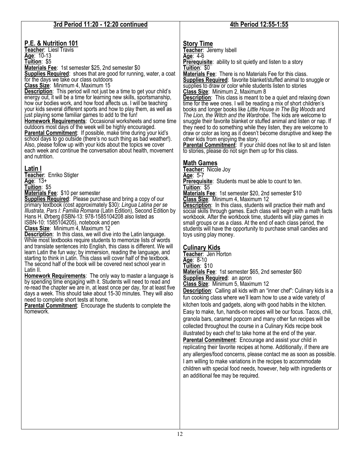| 3rd Period 11:20 - 12:20 continued                                                                                                                                                                                                                                                                                                                                                                                                                                                                                                                                                                                                                                                                                                                                                                                                                                                                                                                                                                                                                                                                                                                                                                                                                                                                                                       | 4th Period 12:55-1:55                                                                                                                                                                                                                                                                                                                                                                                                                                                                                                                                                                                                                                                                                                                                                                                                                                                                                                                                                                                                                                                                                                                                                                                                                                                                                                                                                                                                                                                                                                                                                                                                                                                                                                                            |
|------------------------------------------------------------------------------------------------------------------------------------------------------------------------------------------------------------------------------------------------------------------------------------------------------------------------------------------------------------------------------------------------------------------------------------------------------------------------------------------------------------------------------------------------------------------------------------------------------------------------------------------------------------------------------------------------------------------------------------------------------------------------------------------------------------------------------------------------------------------------------------------------------------------------------------------------------------------------------------------------------------------------------------------------------------------------------------------------------------------------------------------------------------------------------------------------------------------------------------------------------------------------------------------------------------------------------------------|--------------------------------------------------------------------------------------------------------------------------------------------------------------------------------------------------------------------------------------------------------------------------------------------------------------------------------------------------------------------------------------------------------------------------------------------------------------------------------------------------------------------------------------------------------------------------------------------------------------------------------------------------------------------------------------------------------------------------------------------------------------------------------------------------------------------------------------------------------------------------------------------------------------------------------------------------------------------------------------------------------------------------------------------------------------------------------------------------------------------------------------------------------------------------------------------------------------------------------------------------------------------------------------------------------------------------------------------------------------------------------------------------------------------------------------------------------------------------------------------------------------------------------------------------------------------------------------------------------------------------------------------------------------------------------------------------------------------------------------------------|
|                                                                                                                                                                                                                                                                                                                                                                                                                                                                                                                                                                                                                                                                                                                                                                                                                                                                                                                                                                                                                                                                                                                                                                                                                                                                                                                                          |                                                                                                                                                                                                                                                                                                                                                                                                                                                                                                                                                                                                                                                                                                                                                                                                                                                                                                                                                                                                                                                                                                                                                                                                                                                                                                                                                                                                                                                                                                                                                                                                                                                                                                                                                  |
| P.E. & Nutrition 101<br>Teacher: Liesl Travis<br>Age: 10-13<br>Tuition: \$5<br>Materials Fee: 1st semester \$25, 2nd semester \$0<br><b>Supplies Required:</b> shoes that are good for running, water, a coat<br>for the days we take our class outdoors<br>Class Size: Minimum 4, Maximum 15<br><b>Description:</b> This period will not just be a time to get your child's<br>energy out, it will be a time for learning new skills, sportsmanship,<br>how our bodies work, and how food affects us. I will be teaching<br>your kids several different sports and how to play them, as well as<br>just playing some familiar games to add to the fun!<br><b>Homework Requirements:</b> Occasional worksheets and some time<br>outdoors most days of the week will be highly encouraged.<br>Parental Commitment: If possible, make time during your kid's<br>school days to go outside (there's no such thing as bad weather!).<br>Also, please follow up with your kids about the topics we cover<br>each week and continue the conversation about health, movement<br>and nutrition.                                                                                                                                                                                                                                                  | <b>Story Time</b><br>Teacher: Jeremy Isbell<br>Age: $4-6$<br><b>Prerequisite:</b> ability to sit quietly and listen to a story<br>Tuition: \$0<br><b>Materials Fee:</b> There is no Materials Fee for this class.<br><b>Supplies Required:</b> favorite blanket/stuffed animal to snuggle or<br>supplies to draw or color while students listen to stories<br>Class Size: Minimum 2, Maximum 8<br><b>Description:</b> This class is meant to be a quiet and relaxing down<br>time for the wee ones. I will be reading a mix of short children's<br>books and longer books like Little House in The Big Woods and<br>The Lion, the Witch and the Wardrobe. The kids are welcome to<br>snuggle their favorite blanket or stuffed animal and listen or nap. If<br>they need to do something while they listen, they are welcome to<br>draw or color as long as it doesn't become disruptive and keep the<br>other kids from enjoying the story.<br>Parental Commitment: If your child does not like to sit and listen<br>to stories, please do not sign them up for this class.                                                                                                                                                                                                                                                                                                                                                                                                                                                                                                                                                                                                                                                                     |
| Latin I<br>Teacher: Enriko Stigter<br>Age: $13+$<br>Tuition: \$5<br>Materials Fee: \$10 per semester<br><b>Supplies Required:</b> Please purchase and bring a copy of our<br>primary textbook (cost approximately \$30): Lingua Latina per se<br>Illustrata, Pars I: Familia Romana (Latin Edition), Second Edition by<br>Hans H. Ørberg (ISBN-13: 978-1585104208 also listed as<br>ISBN-10: 1585104205), notebook and pen<br>Class Size: Minimum 4, Maximum 12<br><b>Description:</b> In this class, we will dive into the Latin language.<br>While most textbooks require students to memorize lists of words<br>and translate sentences into English, this class is different. We will<br>learn Latin the fun way; by immersion, reading the language, and<br>starting to think in Latin. This class will cover half of the textbook.<br>The second half of the book will be covered next school year in<br>Latin II.<br><b>Homework Requirements:</b> The only way to master a language is<br>by spending time engaging with it. Students will need to read and<br>re-read the chapter we are in, at least once per day, for at least five<br>days a week. This should take about 15-30 minutes. They will also<br>need to complete short tests at home.<br>Parental Commitment: Encourage the students to complete the<br>homework. | <b>Math Games</b><br>Teacher: Nicole Joy<br>Age: 5-7<br><b>Prerequisite:</b> Students must be able to count to ten.<br>Tuition: \$5<br><b>Materials Fee: 1st semester \$20, 2nd semester \$10</b><br>Class Size: Minimum 4, Maximum 12<br><b>Description:</b> In this class, students will practice their math and<br>social skills through games. Each class will begin with a math facts<br>workbook. After the workbook time, students will play games in<br>small groups or as a class. At the end of each class period, the<br>students will have the opportunity to purchase small candies and<br>toys using play money.<br><b>Culinary Kids</b><br>Teacher: Jen Horton<br>Age: 8-10<br>Tuition: \$10<br>Materials Fee: 1st semester \$65, 2nd semester \$60<br><b>Supplies Required: an apron</b><br>Class Size: Minimum 5, Maximum 12<br><b>Description:</b> Calling all kids with an "inner chef": Culinary kids is a<br>fun cooking class where we'll learn how to use a wide variety of<br>kitchen tools and gadgets, along with good habits in the kitchen.<br>Easy to make, fun, hands-on recipes will be our focus. Tacos, chili,<br>granola bars, caramel popcorn and many other fun recipes will be<br>collected throughout the course in a Culinary Kids recipe book<br>illustrated by each chef to take home at the end of the year.<br>Parental Commitment: Encourage and assist your child in<br>replicating their favorite recipes at home. Additionally, if there are<br>any allergies/food concerns, please contact me as soon as possible.<br>I am willing to make variations in the recipes to accommodate<br>children with special food needs, however, help with ingredients or<br>an additional fee may be required. |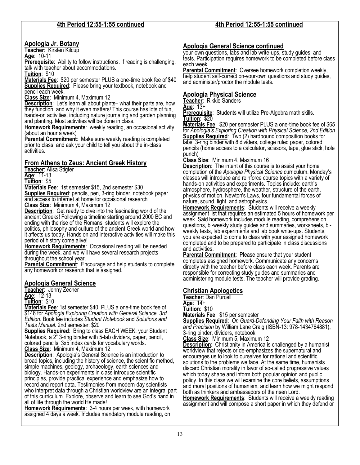| 4th Period 12:55-1:55 continued                                                                                                                                                                                                                                                                                                                                                                                                                                                                                                                                                                                                                                                                                                                                                                                                                                                                                                                                                                                                                                                                                                                                                                                                                                                                                                                                                                                                                                                                                                                                                                                                                                                                                                                                                                                                                                                                                                                                                                                                                                                                                                                                                                                                                                                                                                                                                                                                                                                                                                                                                                                                                                                                                                                                                                                                                                                                                                                                                                                                                                                                                                                                                                                                                                                                                                                 | 4th Period 12:55-1:55 continued                                                                                                                                                                                                                                                                                                                                                                                                                                                                                                                                                                                                                                                                                                                                                                                                                                                                                                                                                                                                                                                                                                                                                                                                                                                                                                                                                                                                                                                                                                                                                                                                                                                                                                                                                                                                                                                                                                                                                                                                                                                                                                                                                                                                                                                                                                                                                                                                                                                                                                                                                                                                                                                                                                                                                                                                                                                                                                                                                                                                                                                                                                                                                                                                                                                                                                                                               |
|-------------------------------------------------------------------------------------------------------------------------------------------------------------------------------------------------------------------------------------------------------------------------------------------------------------------------------------------------------------------------------------------------------------------------------------------------------------------------------------------------------------------------------------------------------------------------------------------------------------------------------------------------------------------------------------------------------------------------------------------------------------------------------------------------------------------------------------------------------------------------------------------------------------------------------------------------------------------------------------------------------------------------------------------------------------------------------------------------------------------------------------------------------------------------------------------------------------------------------------------------------------------------------------------------------------------------------------------------------------------------------------------------------------------------------------------------------------------------------------------------------------------------------------------------------------------------------------------------------------------------------------------------------------------------------------------------------------------------------------------------------------------------------------------------------------------------------------------------------------------------------------------------------------------------------------------------------------------------------------------------------------------------------------------------------------------------------------------------------------------------------------------------------------------------------------------------------------------------------------------------------------------------------------------------------------------------------------------------------------------------------------------------------------------------------------------------------------------------------------------------------------------------------------------------------------------------------------------------------------------------------------------------------------------------------------------------------------------------------------------------------------------------------------------------------------------------------------------------------------------------------------------------------------------------------------------------------------------------------------------------------------------------------------------------------------------------------------------------------------------------------------------------------------------------------------------------------------------------------------------------------------------------------------------------------------------------------------------------|-------------------------------------------------------------------------------------------------------------------------------------------------------------------------------------------------------------------------------------------------------------------------------------------------------------------------------------------------------------------------------------------------------------------------------------------------------------------------------------------------------------------------------------------------------------------------------------------------------------------------------------------------------------------------------------------------------------------------------------------------------------------------------------------------------------------------------------------------------------------------------------------------------------------------------------------------------------------------------------------------------------------------------------------------------------------------------------------------------------------------------------------------------------------------------------------------------------------------------------------------------------------------------------------------------------------------------------------------------------------------------------------------------------------------------------------------------------------------------------------------------------------------------------------------------------------------------------------------------------------------------------------------------------------------------------------------------------------------------------------------------------------------------------------------------------------------------------------------------------------------------------------------------------------------------------------------------------------------------------------------------------------------------------------------------------------------------------------------------------------------------------------------------------------------------------------------------------------------------------------------------------------------------------------------------------------------------------------------------------------------------------------------------------------------------------------------------------------------------------------------------------------------------------------------------------------------------------------------------------------------------------------------------------------------------------------------------------------------------------------------------------------------------------------------------------------------------------------------------------------------------------------------------------------------------------------------------------------------------------------------------------------------------------------------------------------------------------------------------------------------------------------------------------------------------------------------------------------------------------------------------------------------------------------------------------------------------------------------------------------------------|
| <u>Apologia Jr. Botany</u><br>Teacher: Kirsten Kilcup<br>Age: 10-11<br><b>Prerequisite:</b> Ability to follow instructions. If reading is challenging,<br>talk with teacher about accommodations.<br>Tuition: \$10<br>Materials Fee: \$20 per semester PLUS a one-time book fee of \$40<br><b>Supplies Required:</b> Please bring your textbook, notebook and<br>pencil each week.<br>Class Size: Minimum 4, Maximum 12<br><b>Description:</b> Let's learn all about plants– what their parts are, how<br>they function, and why it even matters! This course has lots of fun,<br>hands-on activities, including nature journaling and garden planning<br>and planting. Most activities will be done in class.<br><b>Homework Requirements:</b> weekly reading, an occasional activity<br>(about an hour a week)<br><b>Parental Commitment:</b> Make sure weekly reading is completed<br>prior to class, and ask your child to tell you about the in-class<br>activities.<br><b>From Athens to Zeus: Ancient Greek History</b><br>Teacher: Alisa Stigter<br>Age: 11-13<br>Tuition: \$5<br>Materials Fee: 1st semester \$15, 2nd semester \$30<br><b>Supplies Required:</b> pencils, pen, 3-ring binder, notebook paper<br>and access to internet at home for occasional research<br>Class Size: Minimum 4, Maximum 12<br><b>Description:</b> Get ready to dive into the fascinating world of the<br>ancient Greeks! Following a timeline starting around 2000 BC and<br>ending with the rise of the Romans, students will explore the<br>politics, philosophy and culture of the ancient Greek world and how<br>it affects us today. Hands on and interactive activities will make this<br>period of history come alive!<br><b>Homework Requirements:</b> Occasional reading will be needed<br>during the week, and we will have several research projects<br>throughout the school year.<br><b>Parental Commitment:</b> Encourage and help students to complete<br>any homework or research that is assigned.<br><b>Apologia General Science</b><br>Teacher: Jenny Zecher<br>$\overline{Age}$ : 12-13<br>Tuition: \$10<br>Materials Fee: 1st semester \$40, PLUS a one-time book fee of<br>\$146 for Apologia Exploring Creation with General Science, 3rd<br>Edition. Book fee includes Student Notebook and Solutions and<br>Tests Manual. 2nd semester: \$20<br>Supplies Required: Bring to class EACH WEEK: your Student<br>Notebook, a 2" 3-ring binder with 5-tab dividers, paper, pencil,<br>colored pencils, 3x5 index cards for vocabulary words.<br>Class Size: Minimum 4, Maximum 12<br><b>Description:</b> Apologia's General Science is an introduction to<br>broad topics, including the history of science, the scientific method,<br>simple machines, geology, archaeology, earth sciences and<br>biology. Hands-on experiments in class introduce scientific<br>principles, provide practical experience and emphasize how to<br>record and report data. Testimonies from modern-day scientists<br>who interpret data through a Christian worldview are an integral part<br>of this curriculum. Explore, observe and learn to see God's hand in<br>all of life through the world He made!<br><b>Homework Requirements: 3-4 hours per week, with homework</b><br>assigned 4 days a week. Includes mandatory module reading, on | <b>Apologia General Science continued</b><br>your-own questions, labs and lab write-ups, study guides, and<br>tests. Participation requires homework to be completed before class<br>each week.<br>Parental Commitment: Oversee homework completion weekly,<br>help student self-correct on-your-own questions and study guides,<br>and administer/proctor the module tests.<br><b>Apologia Physical Science</b><br>Teacher: Rikkie Sanders<br>Age: $13+$<br><b>Prerequisite:</b> Students will utilize Pre-Algebra math skills.<br>Tuition: \$20<br>Materials Fee: \$20 per semester PLUS a one-time book fee of \$65<br>for Apologia's Exploring Creation with Physical Science, 2nd Edition<br><b>Supplies Required:</b> Two (2) hardbound composition books for<br>labs, 3-ring binder with 8 dividers, college ruled paper, colored<br>pencils (home access to a calculator, scissors, tape, glue stick, hole<br>punch)<br>Class Size: Minimum 4, Maximum 16<br><b>Description:</b> The intent of this course is to assist your home<br>completion of the Apologia Physical Science curriculum. Monday's<br>classes will introduce and reinforce course topics with a variety of<br>hands-on activities and experiments. Topics include: earth's<br>atmosphere, hydrosphere, the weather, structure of the earth,<br>physics of motion, Newton's Laws, four fundamental forces of<br>nature, sound, light, and astrophysics.<br><b>Homework Requirements:</b> Students will receive a weekly<br>assignment list that requires an estimated 5 hours of homework per<br>week. Said homework includes module reading, comprehension<br>questions, bi-weekly study guides and summaries, worksheets, bi-<br>weekly tests, lab experiments and lab book write-ups. Students,<br>you are expected to come to class with your assigned homework<br>completed and to be prepared to participate in class discussions<br>and activities.<br><b>Parental Commitment:</b> Please ensure that your student<br>completes assigned homework. Communicate any concerns<br>directly with the teacher before class each week. Parents are<br>responsible for correcting study guides and summaries and<br>administering module tests. The teacher will provide grading.<br><b>Christian Apologetics</b><br><b>Teacher: Dan Purcell</b><br>Age: $14+$<br>Tuition: \$10<br>Materials Fee: \$15 per semester<br><b>Supplies Required: On Guard-Defending Your Faith with Reason</b><br>and Precision by William Lane Craig (ISBN-13: 978-1434764881),<br>3-ring binder, dividers, notebook<br>Class Size: Minimum 5, Maximum 12<br><b>Description:</b> Christianity in America is challenged by a humanist<br>worldview that rejects or de-emphasizes the supernatural and<br>encourages us to look to ourselves for rational and scientific<br>solutions to the problems we face. At the same time, humanists<br>discard Christian morality in favor of so-called progressive values<br>which today shape and inform both popular opinion and public<br>policy. In this class we will examine the core beliefs, assumptions<br>and moral positions of humanism, and learn how we might respond<br>both as thinkers and ambassadors of the risen Lord.<br>Homework Requirements: Students will receive a weekly reading<br>assignment and will compose a short paper in which they defend or |
|                                                                                                                                                                                                                                                                                                                                                                                                                                                                                                                                                                                                                                                                                                                                                                                                                                                                                                                                                                                                                                                                                                                                                                                                                                                                                                                                                                                                                                                                                                                                                                                                                                                                                                                                                                                                                                                                                                                                                                                                                                                                                                                                                                                                                                                                                                                                                                                                                                                                                                                                                                                                                                                                                                                                                                                                                                                                                                                                                                                                                                                                                                                                                                                                                                                                                                                                                 |                                                                                                                                                                                                                                                                                                                                                                                                                                                                                                                                                                                                                                                                                                                                                                                                                                                                                                                                                                                                                                                                                                                                                                                                                                                                                                                                                                                                                                                                                                                                                                                                                                                                                                                                                                                                                                                                                                                                                                                                                                                                                                                                                                                                                                                                                                                                                                                                                                                                                                                                                                                                                                                                                                                                                                                                                                                                                                                                                                                                                                                                                                                                                                                                                                                                                                                                                                               |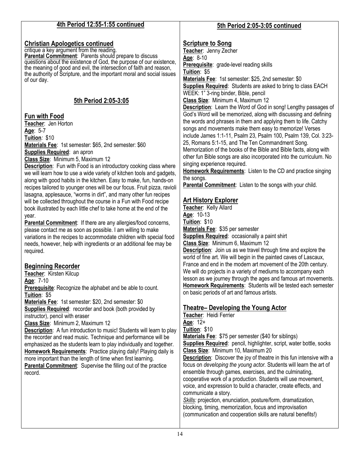| 4th Period 12:55-1:55 continued                                                      | 5th Period 2:05-3:05 continued                                                                                           |
|--------------------------------------------------------------------------------------|--------------------------------------------------------------------------------------------------------------------------|
|                                                                                      |                                                                                                                          |
| <b>Christian Apologetics continued</b>                                               | <b>Scripture to Song</b>                                                                                                 |
| critique a key argument from the reading.                                            | Teacher: Jenny Zecher                                                                                                    |
| Parental Commitment: Parents should prepare to discuss                               | Age: 8-10                                                                                                                |
| questions about the existence of God, the purpose of our existence,                  | Prerequisite: grade-level reading skills                                                                                 |
| the meaning of good and evil, the intersection of faith and reason,                  | Tuition: \$5                                                                                                             |
| the authority of Scripture, and the important moral and social issues<br>of our day. | Materials Fee: 1st semester: \$25, 2nd semester: \$0                                                                     |
|                                                                                      | <b>Supplies Required:</b> Students are asked to bring to class EACH                                                      |
|                                                                                      | WEEK: 1" 3-ring binder, Bible, pencil                                                                                    |
| 5th Period 2:05-3:05                                                                 | Class Size: Minimum 4, Maximum 12                                                                                        |
|                                                                                      | <b>Description:</b> Learn the Word of God in song! Lengthy passages of                                                   |
| <b>Fun with Food</b>                                                                 | God's Word will be memorized, along with discussing and defining                                                         |
| Teacher: Jen Horton                                                                  | the words and phrases in them and applying them to life. Catchy                                                          |
| Age: 5-7                                                                             | songs and movements make them easy to memorize! Verses                                                                   |
| Tuition: \$10                                                                        | include James 1:1-11, Psalm 23, Psalm 100, Psalm 139, Col. 3:23-                                                         |
| Materials Fee: 1st semester: \$65, 2nd semester: \$60                                | 25, Romans 5:1-15, and The Ten Commandment Song.                                                                         |
| <b>Supplies Required: an apron</b>                                                   | Memorization of the books of the Bible and Bible facts, along with                                                       |
| Class Size: Minimum 5, Maximum 12                                                    | other fun Bible songs are also incorporated into the curriculum. No                                                      |
| <b>Description:</b> Fun with Food is an introductory cooking class where             | singing experience required.                                                                                             |
| we will learn how to use a wide variety of kitchen tools and gadgets,                | Homework Requirements: Listen to the CD and practice singing                                                             |
| along with good habits in the kitchen. Easy to make, fun, hands-on                   | the songs.                                                                                                               |
| recipes tailored to younger ones will be our focus. Fruit pizza, ravioli             | Parental Commitment: Listen to the songs with your child.                                                                |
| lasagna, applesauce, "worms in dirt", and many other fun recipes                     |                                                                                                                          |
| will be collected throughout the course in a Fun with Food recipe                    | <b>Art History Explorer</b>                                                                                              |
| book illustrated by each little chef to take home at the end of the                  | Teacher: Kelly Allard                                                                                                    |
| year.                                                                                | Age: 10-13                                                                                                               |
| Parental Commitment: If there are any allergies/food concerns,                       | Tuition: \$10                                                                                                            |
| please contact me as soon as possible. I am willing to make                          | Materials Fee: \$35 per semester                                                                                         |
| variations in the recipes to accommodate children with special food                  | <b>Supplies Required: occasionally a paint shirt</b>                                                                     |
| needs, however, help with ingredients or an additional fee may be                    | Class Size: Minimum 6, Maximum 12                                                                                        |
| required.                                                                            | <b>Description:</b> Join us as we travel through time and explore the                                                    |
|                                                                                      | world of fine art. We will begin in the painted caves of Lascaux,                                                        |
| <b>Beginning Recorder</b>                                                            | France and end in the modern art movement of the 20th century.                                                           |
| Teacher: Kirsten Kilcup                                                              | We will do projects in a variety of mediums to accompany each                                                            |
| Age: 7-10                                                                            | lesson as we journey through the ages and famous art movements.                                                          |
| Prerequisite: Recognize the alphabet and be able to count.                           | <b>Homework Requirements:</b> Students will be tested each semester                                                      |
| Tuition: \$5                                                                         | on basic periods of art and famous artists.                                                                              |
| Materials Fee: 1st semester: \$20, 2nd semester: \$0                                 |                                                                                                                          |
| Supplies Required: recorder and book (both provided by                               | <b>Theatre- Developing the Young Actor</b>                                                                               |
| instructor), pencil with eraser                                                      | Teacher: Heidi Ferrier                                                                                                   |
| Class Size: Minimum 2, Maximum 12                                                    | Age: 12+                                                                                                                 |
| <b>Description:</b> A fun introduction to music! Students will learn to play         | Tuition: \$10                                                                                                            |
| the recorder and read music. Technique and performance will be                       | Materials Fee: \$75 per semester (\$40 for siblings)                                                                     |
| emphasized as the students learn to play individually and together.                  | Supplies Required: pencil, highlighter, script, water bottle, socks                                                      |
| Homework Requirements: Practice playing daily! Playing daily is                      | Class Size: Minimum 10, Maximum 20                                                                                       |
| more important than the length of time when first learning.                          | <b>Description:</b> Discover the joy of theatre in this fun intensive with a                                             |
| <b>Parental Commitment:</b> Supervise the filling out of the practice                | focus on developing the young actor. Students will learn the art of                                                      |
| record.                                                                              | ensemble through games, exercises, and the culminating,<br>cooperative work of a production. Students will use movement, |
|                                                                                      | voice, and expression to build a character, create effects, and                                                          |
|                                                                                      | communicate a story.                                                                                                     |
|                                                                                      | Skills: projection, enunciation, posture/form, dramatization,                                                            |
|                                                                                      | blocking, timing, memorization, focus and improvisation                                                                  |
|                                                                                      | (communication and cooperation skills are natural benefits!)                                                             |
|                                                                                      |                                                                                                                          |
|                                                                                      |                                                                                                                          |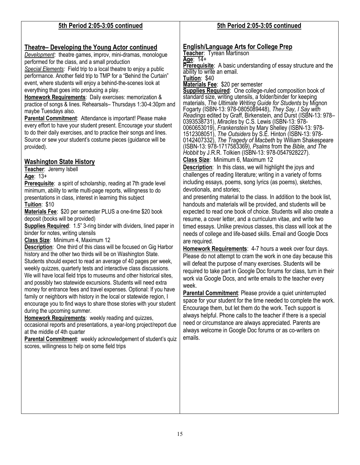### **5th Period 2:05-3:05 continued**

#### **Theatre– Developing the Young Actor continued**

*Development:* theatre games, improv, mini-dramas, monologue performed for the class, and a small production

*Special Elements:* Field trip to a local theatre to enjoy a public performance. Another field trip to TMP for a "Behind the Curtain" event, where students will enjoy a behind-the-scenes look at everything that goes into producing a play.

**Homework Requirements**: Daily exercises: memorization & practice of songs & lines. Rehearsals– Thursdays 1:30-4:30pm and maybe Tuesdays also.

**Parental Commitment**: Attendance is important! Please make every effort to have your student present. Encourage your student to do their daily exercises, and to practice their songs and lines. Source or sew your student's costume pieces (guidance will be provided).

### **Washington State History**

**Teacher**: Jeremy Isbell **Age**: 13+

**Prerequisite:** a spirit of scholarship, reading at 7th grade level minimum, ability to write multi-page reports, willingness to do presentations in class, interest in learning this subject **Tuition**: \$10

**Materials Fee**: \$20 per semester PLUS a one-time \$20 book deposit (books will be provided)

**Supplies Required:** 1.5" 3-ring binder with dividers, lined paper in binder for notes, writing utensils

**Class Size**: Minimum 4, Maximum 12

**Description**: One third of this class will be focused on Gig Harbor history and the other two thirds will be on Washington State. Students should expect to read an average of 40 pages per week, weekly quizzes, quarterly tests and interactive class discussions. We will have local field trips to museums and other historical sites, and possibly two statewide excursions. Students will need extra money for entrance fees and travel expenses. Optional: If you have family or neighbors with history in the local or statewide region, I encourage you to find ways to share those stories with your student during the upcoming summer.

**Homework Requirements**: weekly reading and quizzes,

occasional reports and presentations, a year-long project/report due at the middle of 4th quarter

Parental Commitment: weekly acknowledgement of student's quiz scores, willingness to help on some field trips

### **5th Period 2:05-3:05 continued**

#### **English/Language Arts for College Prep**

**Teacher**: Tyrean Martinson **Age**: 14+ **Prerequisite**: A basic understanding of essay structure and the ability to write an email. **Tuition**: \$40

**Materials Fee**: \$20 per semester

**Supplies Required**: One college-ruled composition book of standard size, writing utensils, a folder/binder for keeping materials, *The Ultimate Writing Guide for Students* by Mignon Fogarty (ISBN-13: 978-0805089448), *They Say, I Say with Readings* edited by Graff, Birkenstein, and Durst (ISBN-13: 978– 0393538731), *Miracles* by C.S. Lewis (ISBN-13: 978- 0060653019), *Frankenstein* by Mary Shelley (ISBN-13: 978- 1512308051), *The Outsiders* by S.E. Hinton (ISBN-13: 978- 0142407332), *The Tragedy of Macbeth* by William Shakespeare (ISBN-13: 978-1717583369), *Psalms* from the *Bible, and The Hobbit* by J.R.R. Tolkien (ISBN-13: 978-0547928227).

**Class Size**: Minimum 6, Maximum 12

**Description**: In this class, we will highlight the joys and challenges of reading literature; writing in a variety of forms including essays, poems, song lyrics (as poems), sketches, devotionals, and stories;

and presenting material to the class. In addition to the book list, handouts and materials will be provided, and students will be expected to read one book of choice. Students will also create a resume, a cover letter, and a curriculum vitae, and write two timed essays. Unlike previous classes, this class will look at the needs of college and life-based skills. Email and Google Docs are required.

**Homework Requirements**: 4-7 hours a week over four days. Please do not attempt to cram the work in one day because this will defeat the purpose of many exercises. Students will be required to take part in Google Doc forums for class, turn in their work via Google Docs, and write emails to the teacher every week.

**Parental Commitment**: Please provide a quiet uninterrupted space for your student for the time needed to complete the work. Encourage them, but let them do the work. Tech support is always helpful. Phone calls to the teacher if there is a special need or circumstance are always appreciated. Parents are always welcome in Google Doc forums or as co-writers on emails.